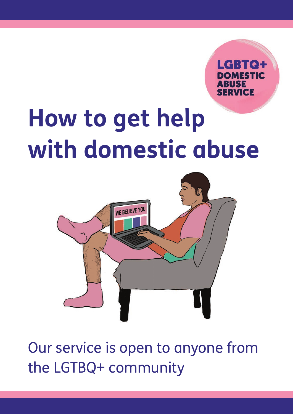d:Tel

## How to get help **with domestic abuse**



Our service is open to anyone from the LGTBQ+ community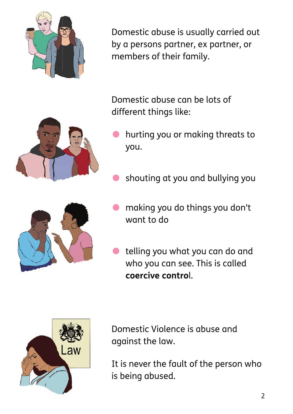

Domestic abuse is usually carried out by a persons partner, ex partner, or members of their family.

Domestic abuse can be lots of different things like:

- hurting you or making threats to you.
- shouting at you and bullying you
- making you do things you don't want to do
- telling you what you can do and who you can see. This is called **coercive contro**l.



Domestic Violence is abuse and against the law.

It is never the fault of the person who is being abused.



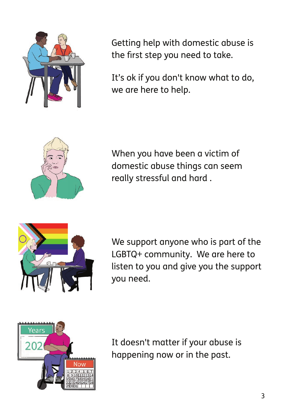

Getting help with domestic abuse is the first step you need to take.

It's ok if you don't know what to do, we are here to help.



When you have been a victim of domestic abuse things can seem really stressful and hard .



We support anyone who is part of the LGBTQ+ community. We are here to listen to you and give you the support you need.



It doesn't matter if your abuse is happening now or in the past.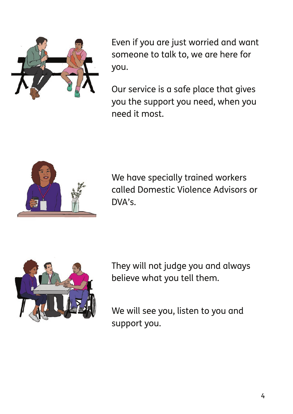

Even if you are just worried and want someone to talk to, we are here for you.

Our service is a safe place that gives you the support you need, when you need it most.



We have specially trained workers called Domestic Violence Advisors or DVA's.



They will not judge you and always believe what you tell them.

We will see you, listen to you and support you.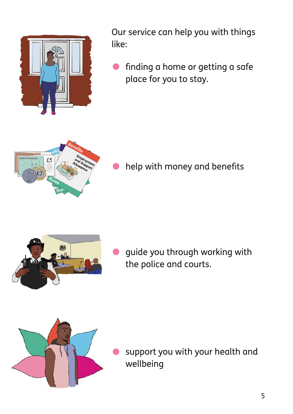

Our service can help you with things like:

• finding a home or getting a safe place for you to stay.



help with money and benefits



guide you through working with the police and courts.



support you with your health and wellbeing